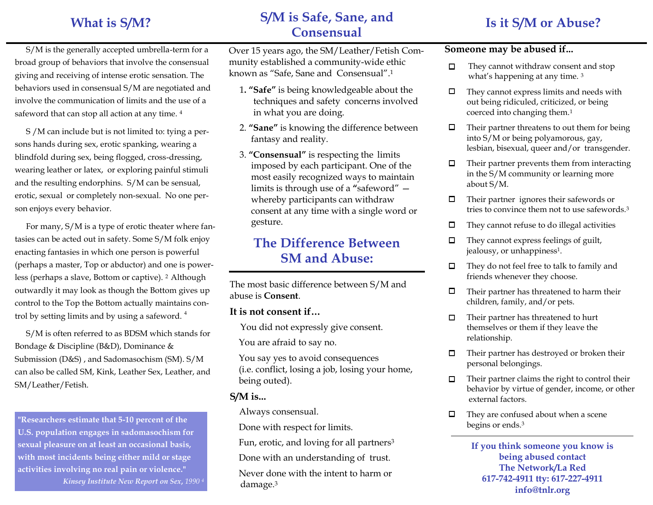### **What is S/M?**

### **S/M is Safe, Sane, and Consensual**

### **Is it S/M or Abuse?**

S/M is the generally accepted umbrella-term for a broad group of behaviors that involve the consensual giving and receiving of intense erotic sensation. The behaviors used in consensual S/M are negotiated and involve the communication of limits and the use of a safeword that can stop all action at any time. <sup>4</sup>

S /M can include but is not limited to: tying a persons hands during sex, erotic spanking, wearing a blindfold during sex, being flogged, cross-dressing, wearing leather or latex, or exploring painful stimuli and the resulting endorphins. S/M can be sensual, erotic, sexual or completely non-sexual. No one person enjoys every behavior.

For many, S/M is a type of erotic theater where fantasies can be acted out in safety. Some S/M folk enjoy enacting fantasies in which one person is powerful (perhaps a master, Top or abductor) and one is powerless (perhaps a slave, Bottom or captive). 2 Although outwardly it may look as though the Bottom gives up control to the Top the Bottom actually maintains control by setting limits and by using a safeword. <sup>4</sup>

S/M is often referred to as BDSM which stands for Bondage & Discipline (B&D), Dominance & Submission (D&S) , and Sadomasochism (SM). S/M can also be called SM, Kink, Leather Sex, Leather, and SM/Leather/Fetish.

**"Researchers estimate that 5-10 percent of the U.S. population engages in sadomasochism for sexual pleasure on at least an occasional basis, with most incidents being either mild or stage activities involving no real pain or violence."** *Kinsey Institute New Report on Sex***,** *1990 <sup>4</sup>* Over 15 years ago, the SM/Leather/Fetish Community established a community-wide ethic known as "Safe, Sane and Consensual".<sup>1</sup>

- 1**. "Safe"** is being knowledgeable about the techniques and safety concerns involved in what you are doing.
- 2. **"Sane"** is knowing the difference between fantasy and reality.
- 3. **"Consensual"** is respecting the limits imposed by each participant. One of the most easily recognized ways to maintain limits is through use of a "safeword" whereby participants can withdraw consent at any time with a single word or gesture.

### **The Difference Between SM and Abuse:**

The most basic difference between S/M and abuse is **Consent**.

#### **It is not consent if…**

You did not expressly give consent.

You are afraid to say no.

 You say yes to avoid consequences (i.e. conflict, losing a job, losing your home, being outed).

### **S/M is...**

Always consensual.

Done with respect for limits.

Fun, erotic, and loving for all partners<sup>3</sup>

Done with an understanding of trust.

 Never done with the intent to harm or damage.<sup>3</sup>

### **Someone may be abused if...**

- They cannot withdraw consent and stop  $\Box$ what's happening at any time.<sup>3</sup>
- $\Box$ They cannot express limits and needs with out being ridiculed, criticized, or being coerced into changing them.<sup>1</sup>
- 0 Their partner threatens to out them for being into S/M or being polyamorous, gay, lesbian, bisexual, queer and/or transgender.
- Their partner prevents them from interacting □ in the S/M community or learning more about S/M.
- $\Box$ Their partner ignores their safewords or tries to convince them not to use safewords.<sup>3</sup>
- They cannot refuse to do illegal activities □
- They cannot express feelings of guilt, □ jealousy, or unhappiness<sup>1</sup>.
- $\Box$ They do not feel free to talk to family and friends whenever they choose.
- $\Box$ Their partner has threatened to harm their children, family, and/or pets.
- Their partner has threatened to hurt 0 themselves or them if they leave the relationship.
- $\Box$ Their partner has destroyed or broken their personal belongings.
- $\Box$ Their partner claims the right to control their behavior by virtue of gender, income, or other external factors.
- They are confused about when a scene 0 begins or ends.<sup>3</sup>

**If you think someone you know is being abused contact The Network/La Red 617-742-4911 tty: 617-227-4911 info@tnlr.org**